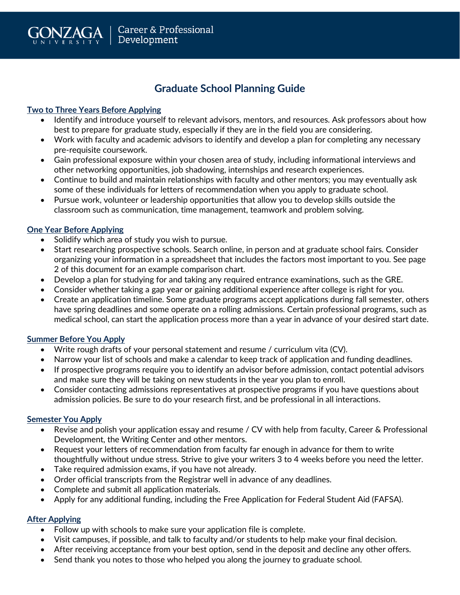

## **Graduate School Planning Guide**

#### **Two to Three Years Before Applying**

- Identify and introduce yourself to relevant advisors, mentors, and resources. Ask professors about how best to prepare for graduate study, especially if they are in the field you are considering.
- Work with faculty and academic advisors to identify and develop a plan for completing any necessary pre-requisite coursework.
- Gain professional exposure within your chosen area of study, including informational interviews and other networking opportunities, job shadowing, internships and research experiences.
- Continue to build and maintain relationships with faculty and other mentors; you may eventually ask some of these individuals for letters of recommendation when you apply to graduate school.
- Pursue work, volunteer or leadership opportunities that allow you to develop skills outside the classroom such as communication, time management, teamwork and problem solving.

#### **One Year Before Applying**

- Solidify which area of study you wish to pursue.
- Start researching prospective schools. Search online, in person and at graduate school fairs. Consider organizing your information in a spreadsheet that includes the factors most important to you. See page 2 of this document for an example comparison chart.
- Develop a plan for studying for and taking any required entrance examinations, such as the GRE.
- Consider whether taking a gap year or gaining additional experience after college is right for you.
- Create an application timeline. Some graduate programs accept applications during fall semester, others have spring deadlines and some operate on a rolling admissions. Certain professional programs, such as medical school, can start the application process more than a year in advance of your desired start date.

#### **Summer Before You Apply**

- Write rough drafts of your personal statement and resume / curriculum vita (CV).
- Narrow your list of schools and make a calendar to keep track of application and funding deadlines.
- If prospective programs require you to identify an advisor before admission, contact potential advisors and make sure they will be taking on new students in the year you plan to enroll.
- Consider contacting admissions representatives at prospective programs if you have questions about admission policies. Be sure to do your research first, and be professional in all interactions.

#### **Semester You Apply**

- Revise and polish your application essay and resume / CV with help from faculty, Career & Professional Development, the Writing Center and other mentors.
- Request your letters of recommendation from faculty far enough in advance for them to write thoughtfully without undue stress. Strive to give your writers 3 to 4 weeks before you need the letter.
- Take required admission exams, if you have not already.
- Order official transcripts from the Registrar well in advance of any deadlines.
- Complete and submit all application materials.
- Apply for any additional funding, including the Free Application for Federal Student Aid (FAFSA).

### **After Applying**

- Follow up with schools to make sure your application file is complete.
- Visit campuses, if possible, and talk to faculty and/or students to help make your final decision.
- After receiving acceptance from your best option, send in the deposit and decline any other offers.
- Send thank you notes to those who helped you along the journey to graduate school.